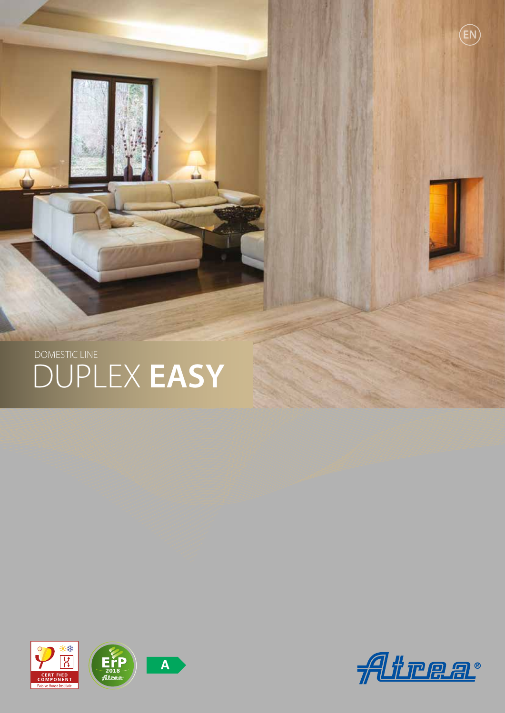

and the





**EN**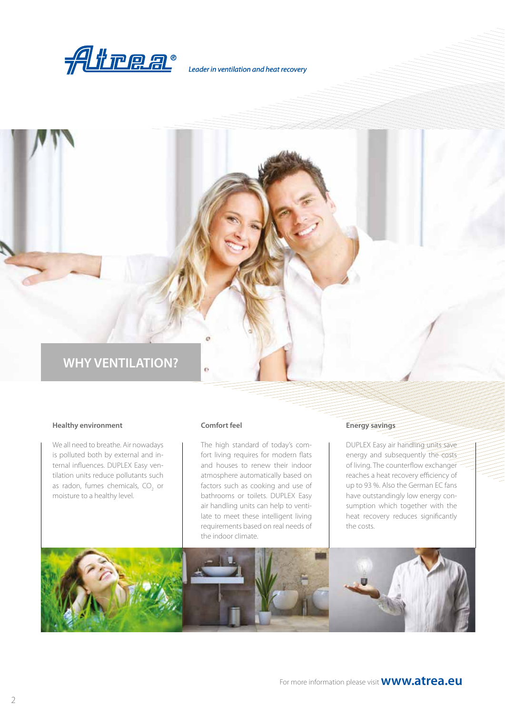

*Leader in ventilation and heat recovery*

## **WHY VENTILATION?**

### **Healthy environment**

We all need to breathe. Air nowadays is polluted both by external and internal influences. DUPLEX Easy ventilation units reduce pollutants such as radon, fumes chemicals,  $CO_2$  or moisture to a healthy level.

#### **Comfort feel**

The high standard of today's comfort living requires for modern flats and houses to renew their indoor atmosphere automatically based on factors such as cooking and use of bathrooms or toilets. DUPLEX Easy air handling units can help to ventilate to meet these intelligent living requirements based on real needs of the indoor climate.

### **Energy savings**

DUPLEX Easy air handling units save energy and subsequently the costs of living. The counterflow exchanger reaches a heat recovery efficiency of up to 93 %. Also the German EC fans have outstandingly low energy consumption which together with the heat recovery reduces significantly the costs.

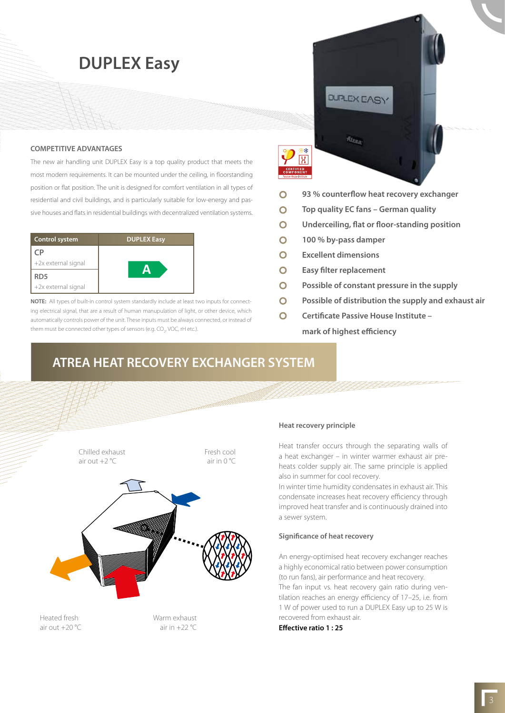**DUPLEX Easy**

### **COMPETITIVE ADVANTAGES**

The new air handling unit DUPLEX Easy is a top quality product that meets the most modern requirements. It can be mounted under the ceiling, in floorstanding position or flat position. The unit is designed for comfort ventilation in all types of residential and civil buildings, and is particularly suitable for low-energy and passive houses and flats in residential buildings with decentralized ventilation systems.

| <b>Control system</b> | <b>DUPLEX Easy</b> |  |
|-----------------------|--------------------|--|
| CP                    |                    |  |
| +2x external signal   |                    |  |
| RD5                   |                    |  |
| +2x external signal   |                    |  |

**NOTE:** All types of built-in control system standardly include at least two inputs for connecting electrical signal, that are a result of human manupulation of light, or other device, which automatically controls power of the unit. These inputs must be always connected, or instead of them must be connected other types of sensors (e.g. CO<sub>2</sub>, VOC, rH etc.).



- $\bullet$ **93 % counterflow heat recovery exchanger**
- $\overline{O}$ **Top quality EC fans – German quality**

**DUPLEX EASY** 

 $m_{th}$ 

- $\Omega$ **Underceiling, flat or floor-standing position**
- $\Omega$ **100 % by-pass damper**
- $\overline{O}$ **Excellent dimensions**
- $\bullet$ **Easy filter replacement**
- $\bigcirc$ **Possible of constant pressure in the supply**
- **Possible of distribution the supply and exhaust air**  $\bullet$
- **Certificate Passive House Institute –**  $\bullet$ **mark of highest efficiency**

### **ATREA HEAT RECOVERY EXCHANGER SYSTEM**



air out  $+20$  °C

air in  $+22$  °C

### **Heat recovery principle**

Heat transfer occurs through the separating walls of a heat exchanger – in winter warmer exhaust air preheats colder supply air. The same principle is applied also in summer for cool recovery.

In winter time humidity condensates in exhaust air. This condensate increases heat recovery efficiency through improved heat transfer and is continuously drained into a sewer system.

### **Significance of heat recovery**

An energy-optimised heat recovery exchanger reaches a highly economical ratio between power consumption (to run fans), air performance and heat recovery.

The fan input vs. heat recovery gain ratio during ventilation reaches an energy efficiency of 17–25, i.e. from 1 W of power used to run a DUPLEX Easy up to 25 W is recovered from exhaust air.

**Effective ratio 1 : 25**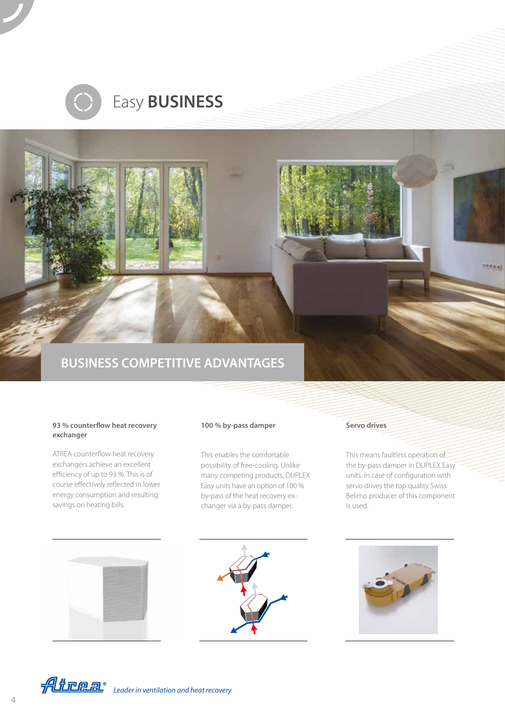

# Easy **BUSINESS**

## **BUSINESS COMPETITIVE ADVANTAGES**

### **93 % counterflow heat recovery exchanger**

ATREA counterflow heat recovery exchangers achieve an excellent efficiency of up to 93 %. This is of course effectively reflected in lower energy consumption and resulting savings on heating bills.

### **100 % by-pass damper**

This enables the comfortable possibility of free-cooling. Unlike many competing products, DUPLEX Easy units have an option of 100 % by-pass of the heat recovery exchanger via a by-pass damper.

### **Servo drives**

This means faultless operation of the by-pass damper in DUPLEX Easy units. In case of configuration with servo drives the top quality Swiss Belimo producer of this component is used.

**Keet** 









*Leader in ventilation and heat recovery*

4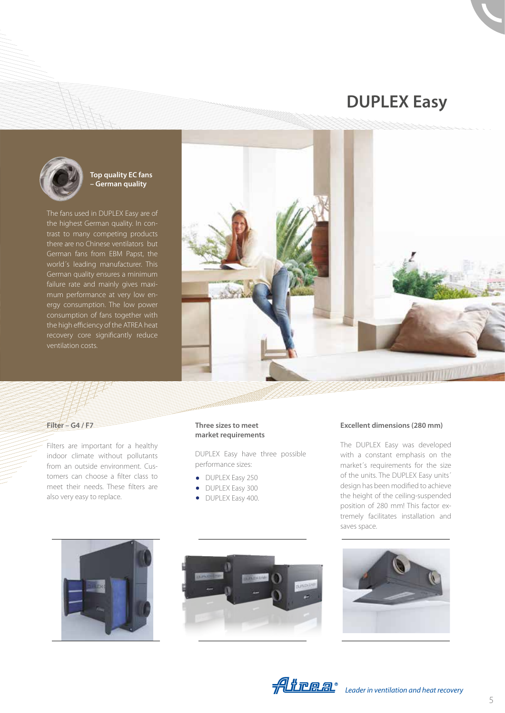# **DUPLEX Easy**



### **Top quality EC fans – German quality**

The fans used in DUPLEX Easy are of the highest German quality. In contrast to many competing products there are no Chinese ventilators but German fans from EBM Papst, the world´s leading manufacturer. This German quality ensures a minimum failure rate and mainly gives maximum performance at very low energy consumption. The low power consumption of fans together with the high efficiency of the ATREA heat recovery core significantly reduce ventilation costs.



### **Filter – G4 / F7**

Filters are important for a healthy indoor climate without pollutants from an outside environment. Customers can choose a filter class to meet their needs. These filters are also very easy to replace.

#### **Three sizes to meet market requirements**

DUPLEX Easy have three possible performance sizes:

- DUPLEX Easy 250
- DUPLEX Easy 300
- DUPLEX Easy 400.

### **Excellent dimensions (280 mm)**

The DUPLEX Easy was developed with a constant emphasis on the market´s requirements for the size of the units. The DUPLEX Easy units´ design has been modified to achieve the height of the ceiling-suspended position of 280 mm! This factor extremely facilitates installation and saves space.







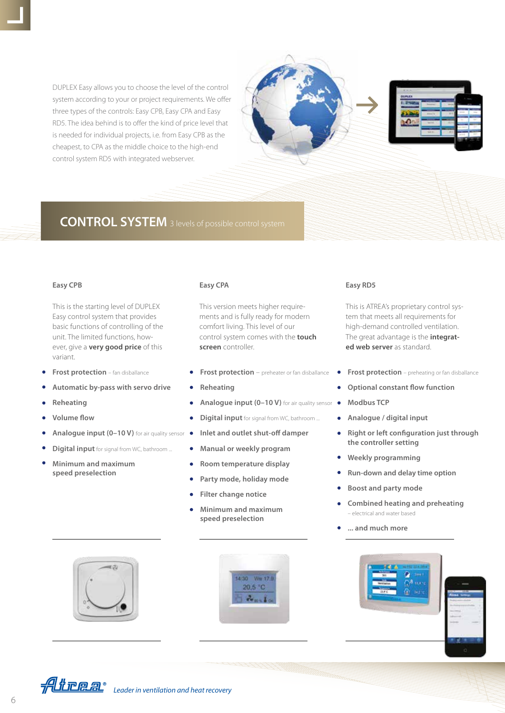DUPLEX Easy allows you to choose the level of the control system according to your or project requirements. We offer three types of the controls: Easy CPB, Easy CPA and Easy RD5. The idea behind is to offer the kind of price level that is needed for individual projects, i.e. from Easy CPB as the cheapest, to CPA as the middle choice to the high-end control system RD5 with integrated webserver.





### **CONTROL SYSTEM** 3 levels of possible control system

This is the starting level of DUPLEX Easy control system that provides basic functions of controlling of the unit. The limited functions, however, give a **very good price** of this variant.

- **Frost protection** fan disballance
- **Automatic by-pass with servo drive**
- **Reheating**
- **Volume flow**
- Analogue input (0-10 V) for air quality sensor
- **Digital input** for signal from WC, bathroom ...
- $\bullet$ **Minimum and maximum speed preselection**

This version meets higher requirements and is fully ready for modern comfort living. This level of our control system comes with the **touch screen** controller.

- **Frost protection** preheater or fan disballance
- **Reheating**
- Analogue input (0-10 V) for air quality sensor
- **Digital input** for signal from WC, bathroom ...
- **Inlet and outlet shut-off damper**  $\bullet$
- **Manual or weekly program**
- **Room temperature display**
- **Party mode, holiday mode**
- **Filter change notice**
- **Minimum and maximum speed preselection**





#### **Easy CPB Easy CPA Easy RD5**

This is ATREA's proprietary control system that meets all requirements for high-demand controlled ventilation. The great advantage is the **integrated web server** as standard.

- **Frost protection** preheating or fan disballance
- **Optional constant flow function**
- **Modbus TCP**
- **Analogue / digital input**
- **Right or left configuration just through**  $\bullet$ **the controller setting**
- **Weekly programming**
- **Run-down and delay time option**
- **Boost and party mode**
- **Combined heating and preheating**  – electrical and water based
- **... and much more**





*Leader in ventilation and heat recovery*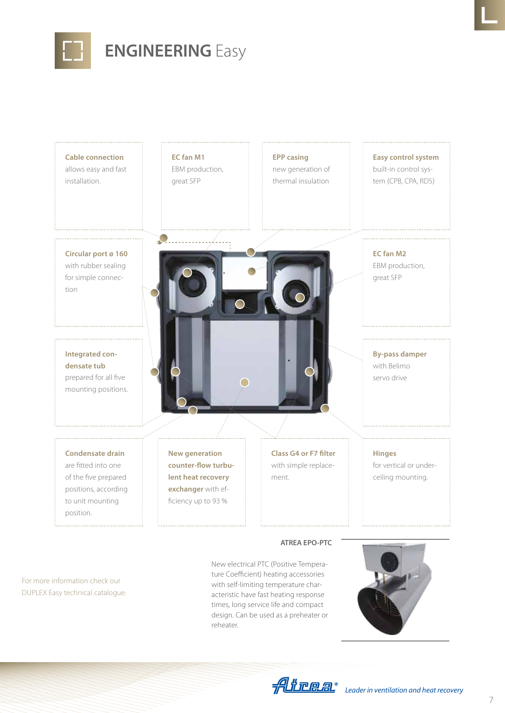

# **ENGINEERING** Easy

| <b>Cable connection</b><br>allows easy and fast<br>installation.                                                   | EC fan M1<br>EBM production,<br>great SFP                                                                       | <b>EPP casing</b><br>new generation of<br>thermal insulation  | <b>Easy control system</b><br>built-in control sys-<br>tem (CPB, CPA, RD5) |
|--------------------------------------------------------------------------------------------------------------------|-----------------------------------------------------------------------------------------------------------------|---------------------------------------------------------------|----------------------------------------------------------------------------|
| Circular port ø 160<br>with rubber sealing<br>for simple connec-<br>tion                                           |                                                                                                                 |                                                               | EC fan M2<br>EBM production,<br>great SFP                                  |
| Integrated con-<br>densate tub<br>prepared for all five<br>mounting positions.                                     |                                                                                                                 |                                                               | <b>By-pass damper</b><br>with Belimo<br>servo drive                        |
| <b>Condensate drain</b><br>are fitted into one<br>of the five prepared<br>positions, according<br>to unit mounting | <b>New generation</b><br>counter-flow turbu-<br>lent heat recovery<br>exchanger with ef-<br>ficiency up to 93 % | <b>Class G4 or F7 filter</b><br>with simple replace-<br>ment. | <b>Hinges</b><br>for vertical or under-<br>ceiling mounting.               |

For more information check our DUPLEX Easy technical catalogue. New electrical PTC (Positive Temperature Coefficient) heating accessories with self-limiting temperature characteristic have fast heating response times, long service life and compact design. Can be used as a preheater or reheater.